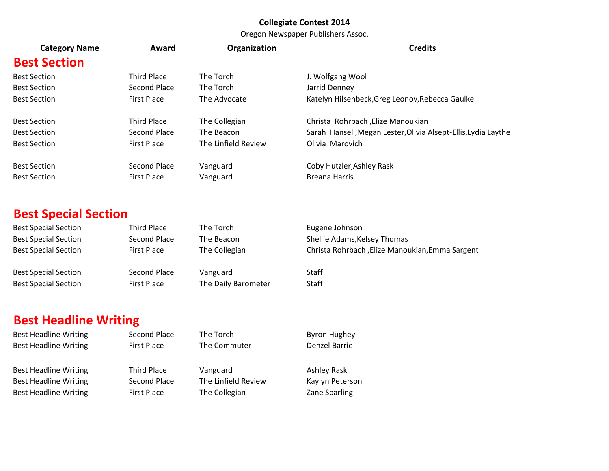Oregon Newspaper Publishers Assoc.

| <b>Category Name</b> | Award              | Organization        | <b>Credits</b>                                                 |
|----------------------|--------------------|---------------------|----------------------------------------------------------------|
| <b>Best Section</b>  |                    |                     |                                                                |
| <b>Best Section</b>  | Third Place        | The Torch           | J. Wolfgang Wool                                               |
| <b>Best Section</b>  | Second Place       | The Torch           | Jarrid Denney                                                  |
| <b>Best Section</b>  | <b>First Place</b> | The Advocate        | Katelyn Hilsenbeck, Greg Leonov, Rebecca Gaulke                |
| <b>Best Section</b>  | <b>Third Place</b> | The Collegian       | Christa Rohrbach , Elize Manoukian                             |
| <b>Best Section</b>  | Second Place       | The Beacon          | Sarah Hansell, Megan Lester, Olivia Alsept-Ellis, Lydia Laythe |
| <b>Best Section</b>  | <b>First Place</b> | The Linfield Review | Olivia Marovich                                                |
| <b>Best Section</b>  | Second Place       | Vanguard            | Coby Hutzler, Ashley Rask                                      |
| <b>Best Section</b>  | <b>First Place</b> | Vanguard            | <b>Breana Harris</b>                                           |
|                      |                    |                     |                                                                |

# **Best Special Section**

| <b>Best Special Section</b> | Third Place        | The Torch           | Eugene Johnson                                   |
|-----------------------------|--------------------|---------------------|--------------------------------------------------|
| <b>Best Special Section</b> | Second Place       | The Beacon          | Shellie Adams, Kelsey Thomas                     |
| <b>Best Special Section</b> | <b>First Place</b> | The Collegian       | Christa Rohrbach , Elize Manoukian, Emma Sargent |
| <b>Best Special Section</b> | Second Place       | Vanguard            | <b>Staff</b>                                     |
| <b>Best Special Section</b> | <b>First Place</b> | The Daily Barometer | <b>Staff</b>                                     |

# **Best Headline Writing**

| <b>Best Headline Writing</b> | Second Place       | The Torch           | <b>Byron Hughey</b> |
|------------------------------|--------------------|---------------------|---------------------|
| <b>Best Headline Writing</b> | <b>First Place</b> | The Commuter        | Denzel Barrie       |
| <b>Best Headline Writing</b> | Third Place        | Vanguard            | Ashley Rask         |
| <b>Best Headline Writing</b> | Second Place       | The Linfield Review | Kaylyn Peterson     |
| <b>Best Headline Writing</b> | <b>First Place</b> | The Collegian       | Zane Sparling       |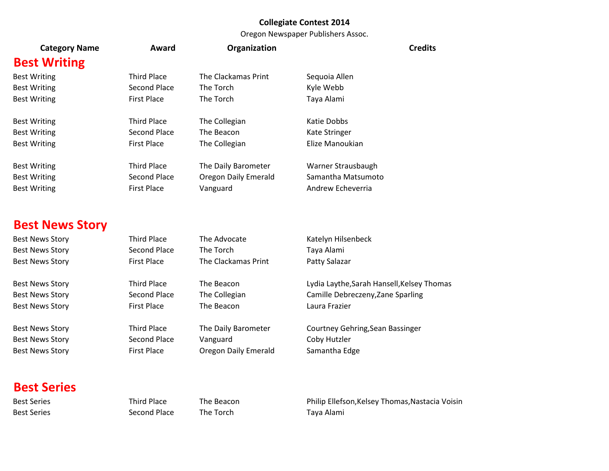#### Oregon Newspaper Publishers Assoc.

|                        |                     |                             | Oregon newspaper rubishers Assoc.          |
|------------------------|---------------------|-----------------------------|--------------------------------------------|
| <b>Category Name</b>   | Award               | Organization                | <b>Credits</b>                             |
| <b>Best Writing</b>    |                     |                             |                                            |
| <b>Best Writing</b>    | <b>Third Place</b>  | The Clackamas Print         | Sequoia Allen                              |
| <b>Best Writing</b>    | <b>Second Place</b> | The Torch                   | Kyle Webb                                  |
| <b>Best Writing</b>    | <b>First Place</b>  | The Torch                   | Taya Alami                                 |
| <b>Best Writing</b>    | <b>Third Place</b>  | The Collegian               | Katie Dobbs                                |
| <b>Best Writing</b>    | <b>Second Place</b> | The Beacon                  | Kate Stringer                              |
| <b>Best Writing</b>    | <b>First Place</b>  | The Collegian               | Elize Manoukian                            |
| <b>Best Writing</b>    | <b>Third Place</b>  | The Daily Barometer         | Warner Strausbaugh                         |
| <b>Best Writing</b>    | <b>Second Place</b> | <b>Oregon Daily Emerald</b> | Samantha Matsumoto                         |
| <b>Best Writing</b>    | <b>First Place</b>  | Vanguard                    | Andrew Echeverria                          |
| <b>Best News Story</b> |                     |                             |                                            |
| <b>Best News Story</b> | <b>Third Place</b>  | The Advocate                | Katelyn Hilsenbeck                         |
| <b>Best News Story</b> | <b>Second Place</b> | The Torch                   | Taya Alami                                 |
| <b>Best News Story</b> | <b>First Place</b>  | The Clackamas Print         | Patty Salazar                              |
| <b>Best News Story</b> | <b>Third Place</b>  | The Beacon                  | Lydia Laythe, Sarah Hansell, Kelsey Thomas |
| <b>Best News Story</b> | <b>Second Place</b> | The Collegian               | Camille Debreczeny, Zane Sparling          |
| <b>Best News Story</b> | <b>First Place</b>  | The Beacon                  | Laura Frazier                              |
| <b>Best News Story</b> | <b>Third Place</b>  | The Daily Barometer         | Courtney Gehring, Sean Bassinger           |
| <b>Best News Story</b> | <b>Second Place</b> | Vanguard                    | Coby Hutzler                               |
| <b>Best News Story</b> | <b>First Place</b>  | Oregon Daily Emerald        | Samantha Edge                              |
| <b>Best Series</b>     |                     |                             |                                            |

Best Series **Second Place** The Torch Taya Alami

Best Series **Third Place** The Beacon Philip Ellefson, Kelsey Thomas, Nastacia Voisin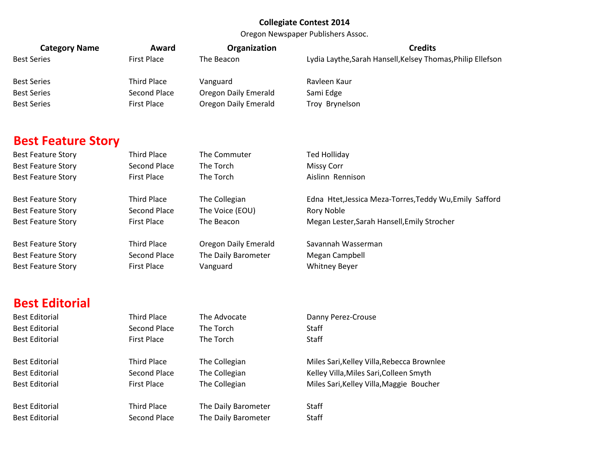Oregon Newspaper Publishers Assoc.

| <b>Category Name</b>      | Award               | Organization                | <b>Credits</b>                                              |
|---------------------------|---------------------|-----------------------------|-------------------------------------------------------------|
| <b>Best Series</b>        | <b>First Place</b>  | The Beacon                  | Lydia Laythe, Sarah Hansell, Kelsey Thomas, Philip Ellefson |
| <b>Best Series</b>        | <b>Third Place</b>  | Vanguard                    | Ravleen Kaur                                                |
| <b>Best Series</b>        | <b>Second Place</b> | <b>Oregon Daily Emerald</b> | Sami Edge                                                   |
| <b>Best Series</b>        | <b>First Place</b>  | <b>Oregon Daily Emerald</b> | Troy Brynelson                                              |
|                           |                     |                             |                                                             |
|                           |                     |                             |                                                             |
| <b>Best Feature Story</b> |                     |                             |                                                             |
| <b>Best Feature Story</b> | <b>Third Place</b>  | The Commuter                | <b>Ted Holliday</b>                                         |
| <b>Best Feature Story</b> | Second Place        | The Torch                   | <b>Missy Corr</b>                                           |
| <b>Best Feature Story</b> | <b>First Place</b>  | The Torch                   | Aislinn Rennison                                            |
| <b>Best Feature Story</b> | <b>Third Place</b>  | The Collegian               | Edna Htet, Jessica Meza-Torres, Teddy Wu, Emily Safford     |
| <b>Best Feature Story</b> | <b>Second Place</b> | The Voice (EOU)             | Rory Noble                                                  |
| <b>Best Feature Story</b> | <b>First Place</b>  | The Beacon                  | Megan Lester, Sarah Hansell, Emily Strocher                 |
|                           |                     |                             |                                                             |
| <b>Best Feature Story</b> | <b>Third Place</b>  | <b>Oregon Daily Emerald</b> | Savannah Wasserman                                          |
| <b>Best Feature Story</b> | <b>Second Place</b> | The Daily Barometer         | Megan Campbell                                              |
| <b>Best Feature Story</b> | <b>First Place</b>  | Vanguard                    | <b>Whitney Beyer</b>                                        |
|                           |                     |                             |                                                             |
| <b>Best Editorial</b>     |                     |                             |                                                             |
| <b>Best Editorial</b>     | <b>Third Place</b>  | The Advocate                | Danny Perez-Crouse                                          |
| <b>Best Editorial</b>     | Second Place        | The Torch                   | Staff                                                       |
| <b>Best Editorial</b>     | <b>First Place</b>  | The Torch                   | Staff                                                       |
|                           |                     |                             |                                                             |
| <b>Best Editorial</b>     | <b>Third Place</b>  | The Collegian               | Miles Sari, Kelley Villa, Rebecca Brownlee                  |
| <b>Best Editorial</b>     | <b>Second Place</b> | The Collegian               | Kelley Villa, Miles Sari, Colleen Smyth                     |
| <b>Best Editorial</b>     | <b>First Place</b>  | The Collegian               | Miles Sari, Kelley Villa, Maggie Boucher                    |
| <b>Best Editorial</b>     | <b>Third Place</b>  | The Daily Barometer         | Staff                                                       |
| <b>Best Editorial</b>     | <b>Second Place</b> | The Daily Barometer         | Staff                                                       |
|                           |                     |                             |                                                             |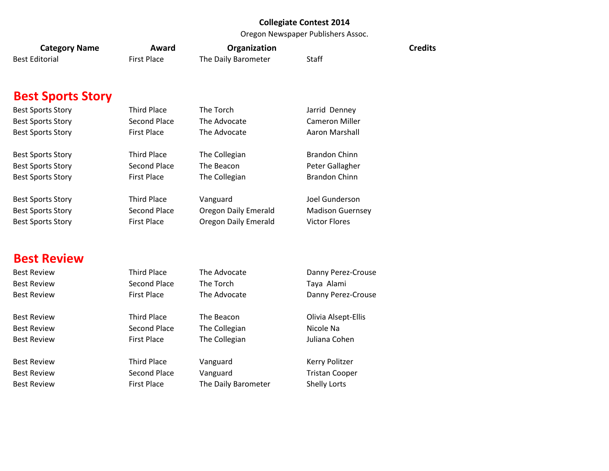Oregon Newspaper Publishers Assoc.

| <b>Category Name</b>     | Award               | Organization                |                         | <b>Credits</b> |
|--------------------------|---------------------|-----------------------------|-------------------------|----------------|
| <b>Best Editorial</b>    | <b>First Place</b>  | The Daily Barometer         | Staff                   |                |
| <b>Best Sports Story</b> |                     |                             |                         |                |
| <b>Best Sports Story</b> | <b>Third Place</b>  | The Torch                   | Jarrid Denney           |                |
| <b>Best Sports Story</b> | <b>Second Place</b> | The Advocate                | <b>Cameron Miller</b>   |                |
| <b>Best Sports Story</b> | <b>First Place</b>  | The Advocate                | Aaron Marshall          |                |
| <b>Best Sports Story</b> | <b>Third Place</b>  | The Collegian               | <b>Brandon Chinn</b>    |                |
| <b>Best Sports Story</b> | <b>Second Place</b> | The Beacon                  | Peter Gallagher         |                |
| <b>Best Sports Story</b> | <b>First Place</b>  | The Collegian               | <b>Brandon Chinn</b>    |                |
| <b>Best Sports Story</b> | <b>Third Place</b>  | Vanguard                    | Joel Gunderson          |                |
| <b>Best Sports Story</b> | <b>Second Place</b> | <b>Oregon Daily Emerald</b> | <b>Madison Guernsey</b> |                |
| <b>Best Sports Story</b> | <b>First Place</b>  | <b>Oregon Daily Emerald</b> | <b>Victor Flores</b>    |                |
| <b>Best Review</b>       |                     |                             |                         |                |
| <b>Best Review</b>       | <b>Third Place</b>  | The Advocate                | Danny Perez-Crouse      |                |
| <b>Best Review</b>       | <b>Second Place</b> | The Torch                   | Taya Alami              |                |
| <b>Best Review</b>       | <b>First Place</b>  | The Advocate                | Danny Perez-Crouse      |                |
| <b>Best Review</b>       | <b>Third Place</b>  | The Beacon                  | Olivia Alsept-Ellis     |                |
| <b>Best Review</b>       | <b>Second Place</b> | The Collegian               | Nicole Na               |                |
| <b>Best Review</b>       | <b>First Place</b>  | The Collegian               | Juliana Cohen           |                |
| <b>Best Review</b>       | <b>Third Place</b>  | Vanguard                    | Kerry Politzer          |                |
| <b>Best Review</b>       | <b>Second Place</b> | Vanguard                    | <b>Tristan Cooper</b>   |                |
| <b>Best Review</b>       | <b>First Place</b>  | The Daily Barometer         | Shelly Lorts            |                |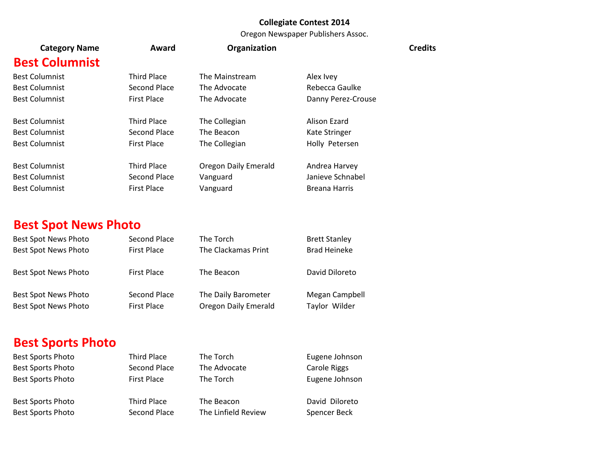Oregon Newspaper Publishers Assoc.

| <b>Category Name</b>  | Award              | Organization                |                      | <b>Credits</b> |
|-----------------------|--------------------|-----------------------------|----------------------|----------------|
| <b>Best Columnist</b> |                    |                             |                      |                |
| <b>Best Columnist</b> | <b>Third Place</b> | The Mainstream              | Alex Ivey            |                |
| <b>Best Columnist</b> | Second Place       | The Advocate                | Rebecca Gaulke       |                |
| <b>Best Columnist</b> | <b>First Place</b> | The Advocate                | Danny Perez-Crouse   |                |
| <b>Best Columnist</b> | <b>Third Place</b> | The Collegian               | Alison Ezard         |                |
| <b>Best Columnist</b> | Second Place       | The Beacon                  | Kate Stringer        |                |
| <b>Best Columnist</b> | <b>First Place</b> | The Collegian               | Holly Petersen       |                |
| <b>Best Columnist</b> | <b>Third Place</b> | <b>Oregon Daily Emerald</b> | Andrea Harvey        |                |
| <b>Best Columnist</b> | Second Place       | Vanguard                    | Janieve Schnabel     |                |
| <b>Best Columnist</b> | <b>First Place</b> | Vanguard                    | <b>Breana Harris</b> |                |
|                       |                    |                             |                      |                |

# **Best Spot News Photo**

| Best Spot News Photo                         | Second Place                       | The Torch                                          | <b>Brett Stanley</b>            |
|----------------------------------------------|------------------------------------|----------------------------------------------------|---------------------------------|
| <b>Best Spot News Photo</b>                  | <b>First Place</b>                 | The Clackamas Print                                | <b>Brad Heineke</b>             |
| Best Spot News Photo                         | <b>First Place</b>                 | The Beacon                                         | David Diloreto                  |
| Best Spot News Photo<br>Best Spot News Photo | Second Place<br><b>First Place</b> | The Daily Barometer<br><b>Oregon Daily Emerald</b> | Megan Campbell<br>Taylor Wilder |

# **Best Sports Photo**

Best Sports Photo **Third Place** The Torch **The Torch** Eugene Johnson Best Sports Photo Second Place The Advocate Carole Riggs Best Sports Photo **First Place** The Torch **First Place** The Torch **Eugene Johnson** 

Best Sports Photo Third Place The Beacon David Diloreto Best Sports Photo Second Place The Linfield Review Spencer Beck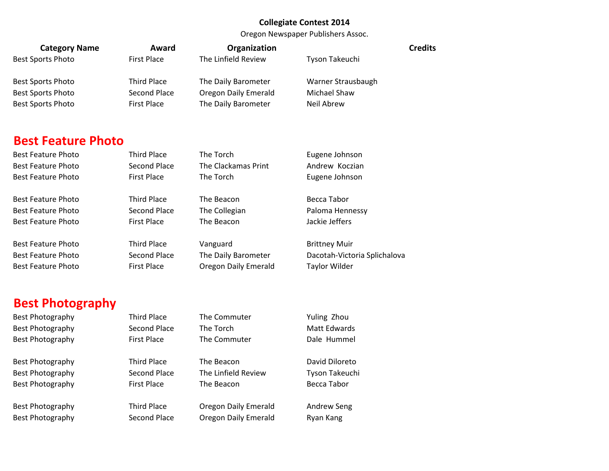Oregon Newspaper Publishers Assoc.

| <b>Category Name</b>      | Award               | Organization                | <b>Credits</b>               |  |
|---------------------------|---------------------|-----------------------------|------------------------------|--|
| <b>Best Sports Photo</b>  | <b>First Place</b>  | The Linfield Review         | Tyson Takeuchi               |  |
| <b>Best Sports Photo</b>  | <b>Third Place</b>  | The Daily Barometer         | Warner Strausbaugh           |  |
| <b>Best Sports Photo</b>  | Second Place        | <b>Oregon Daily Emerald</b> | Michael Shaw                 |  |
| <b>Best Sports Photo</b>  | <b>First Place</b>  | The Daily Barometer         | Neil Abrew                   |  |
|                           |                     |                             |                              |  |
|                           |                     |                             |                              |  |
| <b>Best Feature Photo</b> |                     |                             |                              |  |
| <b>Best Feature Photo</b> | <b>Third Place</b>  | The Torch                   | Eugene Johnson               |  |
| <b>Best Feature Photo</b> | Second Place        | The Clackamas Print         | Andrew Koczian               |  |
| <b>Best Feature Photo</b> | <b>First Place</b>  | The Torch                   | Eugene Johnson               |  |
|                           |                     |                             |                              |  |
| <b>Best Feature Photo</b> | <b>Third Place</b>  | The Beacon                  | <b>Becca Tabor</b>           |  |
| <b>Best Feature Photo</b> | <b>Second Place</b> | The Collegian               | Paloma Hennessy              |  |
| <b>Best Feature Photo</b> | <b>First Place</b>  | The Beacon                  | Jackie Jeffers               |  |
| <b>Best Feature Photo</b> | <b>Third Place</b>  | Vanguard                    | <b>Brittney Muir</b>         |  |
| <b>Best Feature Photo</b> | <b>Second Place</b> | The Daily Barometer         | Dacotah-Victoria Splichalova |  |
| <b>Best Feature Photo</b> | <b>First Place</b>  | <b>Oregon Daily Emerald</b> | Taylor Wilder                |  |
|                           |                     |                             |                              |  |
|                           |                     |                             |                              |  |
| <b>Best Photography</b>   |                     |                             |                              |  |

Best Photography **Second Place** The Torch Matt Edwards Best Photography **First Place** The Commuter **The Commuter** Dale Hummel

Best Photography **Third Place** The Beacon David Diloreto Best Photography **Second Place** The Linfield Review Tyson Takeuchi Best Photography **First Place** The Beacon Becca Tabor

Best Photography **Third Place** The Commuter The The The The The Thou

Best Photography **Third Place** Oregon Daily Emerald Andrew Seng Best Photography **Second Place** Oregon Daily Emerald Ryan Kang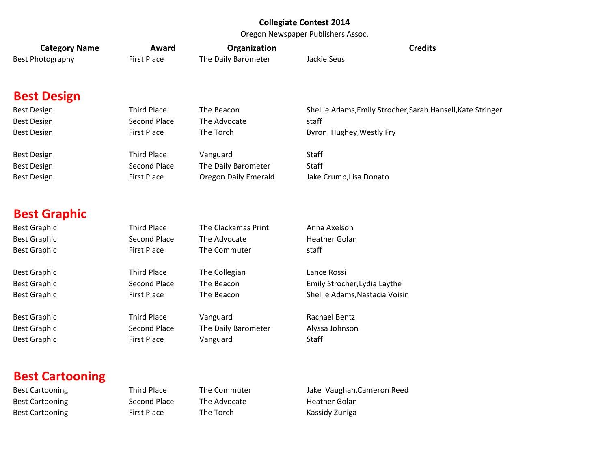Oregon Newspaper Publishers Assoc.

| <b>Category Name</b>   | Award               | Organization         | <b>Credits</b>                                              |
|------------------------|---------------------|----------------------|-------------------------------------------------------------|
| Best Photography       | <b>First Place</b>  | The Daily Barometer  | Jackie Seus                                                 |
| <b>Best Design</b>     |                     |                      |                                                             |
| <b>Best Design</b>     | <b>Third Place</b>  | The Beacon           | Shellie Adams, Emily Strocher, Sarah Hansell, Kate Stringer |
| <b>Best Design</b>     | <b>Second Place</b> | The Advocate         | staff                                                       |
| <b>Best Design</b>     | <b>First Place</b>  | The Torch            | Byron Hughey, Westly Fry                                    |
| <b>Best Design</b>     | <b>Third Place</b>  | Vanguard             | <b>Staff</b>                                                |
| <b>Best Design</b>     | <b>Second Place</b> | The Daily Barometer  | Staff                                                       |
| <b>Best Design</b>     | <b>First Place</b>  | Oregon Daily Emerald | Jake Crump, Lisa Donato                                     |
| <b>Best Graphic</b>    |                     |                      |                                                             |
| <b>Best Graphic</b>    | <b>Third Place</b>  | The Clackamas Print  | Anna Axelson                                                |
| <b>Best Graphic</b>    | <b>Second Place</b> | The Advocate         | <b>Heather Golan</b>                                        |
| <b>Best Graphic</b>    | <b>First Place</b>  | The Commuter         | staff                                                       |
| <b>Best Graphic</b>    | <b>Third Place</b>  | The Collegian        | Lance Rossi                                                 |
| <b>Best Graphic</b>    | <b>Second Place</b> | The Beacon           | Emily Strocher, Lydia Laythe                                |
| <b>Best Graphic</b>    | <b>First Place</b>  | The Beacon           | Shellie Adams, Nastacia Voisin                              |
| <b>Best Graphic</b>    | <b>Third Place</b>  | Vanguard             | Rachael Bentz                                               |
| <b>Best Graphic</b>    | <b>Second Place</b> | The Daily Barometer  | Alyssa Johnson                                              |
| <b>Best Graphic</b>    | <b>First Place</b>  | Vanguard             | Staff                                                       |
| <b>Best Cartooning</b> |                     |                      |                                                             |
| <b>Best Cartooning</b> | <b>Third Place</b>  | The Commuter         | Jake Vaughan, Cameron Reed                                  |
| <b>Best Cartooning</b> | <b>Second Place</b> | The Advocate         | <b>Heather Golan</b>                                        |

Best Cartooning **First Place** The Torch **Kassidy Zuniga**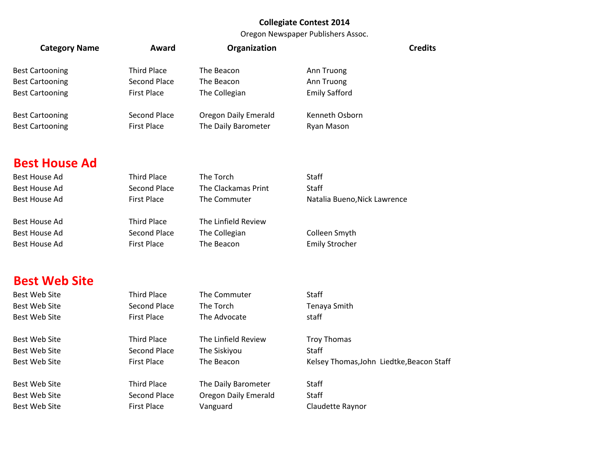Oregon Newspaper Publishers Assoc.

|  |                        |                     | Oregon Newspaper Publishers Assoc. |                                           |
|--|------------------------|---------------------|------------------------------------|-------------------------------------------|
|  | <b>Category Name</b>   | Award               | Organization                       | <b>Credits</b>                            |
|  | <b>Best Cartooning</b> | <b>Third Place</b>  | The Beacon                         | Ann Truong                                |
|  | <b>Best Cartooning</b> | Second Place        | The Beacon                         | Ann Truong                                |
|  | <b>Best Cartooning</b> | <b>First Place</b>  | The Collegian                      | <b>Emily Safford</b>                      |
|  | <b>Best Cartooning</b> | Second Place        | <b>Oregon Daily Emerald</b>        | Kenneth Osborn                            |
|  | <b>Best Cartooning</b> | <b>First Place</b>  | The Daily Barometer                | Ryan Mason                                |
|  |                        |                     |                                    |                                           |
|  | <b>Best House Ad</b>   |                     |                                    |                                           |
|  | <b>Best House Ad</b>   | <b>Third Place</b>  | The Torch                          | Staff                                     |
|  | <b>Best House Ad</b>   | <b>Second Place</b> | The Clackamas Print                | Staff                                     |
|  | <b>Best House Ad</b>   | <b>First Place</b>  | The Commuter                       | Natalia Bueno, Nick Lawrence              |
|  | <b>Best House Ad</b>   | <b>Third Place</b>  | The Linfield Review                |                                           |
|  | <b>Best House Ad</b>   | <b>Second Place</b> | The Collegian                      | Colleen Smyth                             |
|  | <b>Best House Ad</b>   | <b>First Place</b>  | The Beacon                         | <b>Emily Strocher</b>                     |
|  |                        |                     |                                    |                                           |
|  | <b>Best Web Site</b>   |                     |                                    |                                           |
|  | <b>Best Web Site</b>   | <b>Third Place</b>  | The Commuter                       | Staff                                     |
|  | <b>Best Web Site</b>   | <b>Second Place</b> | The Torch                          | Tenaya Smith                              |
|  | <b>Best Web Site</b>   | <b>First Place</b>  | The Advocate                       | staff                                     |
|  | <b>Best Web Site</b>   | <b>Third Place</b>  | The Linfield Review                | <b>Troy Thomas</b>                        |
|  | <b>Best Web Site</b>   | <b>Second Place</b> | The Siskiyou                       | Staff                                     |
|  | Best Web Site          | <b>First Place</b>  | The Beacon                         | Kelsey Thomas, John Liedtke, Beacon Staff |
|  |                        |                     |                                    |                                           |

Best Web Site **Third Place** The Daily Barometer Staff Best Web Site Second Place Dregon Daily Emerald Staff Best Web Site **First Place** Vanguard Claudette Raynor